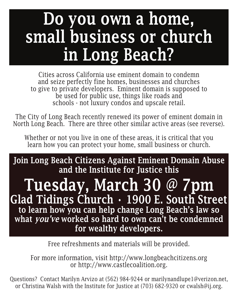## Do you own a home, small business or church in Long Beach?

Cities across California use eminent domain to condemn and seize perfectly fine homes, businesses and churches to give to private developers. Eminent domain is supposed to be used for public use, things like roads and schools - not luxury condos and upscale retail.

The City of Long Beach recently renewed its power of eminent domain in North Long Beach. There are three other similar active areas (see reverse).

Whether or not you live in one of these areas, it is critical that you learn how you can protect your home, small business or church.

Join Long Beach Citizens Against Eminent Domain Abuse and the Institute for Justice this

Tuesday, March 30 @ 7pm Glad Tidings Church • 1900 E. South Street to learn how you can help change Long Beach's law so what you've worked so hard to own can't be condemned for wealthy developers.

Free refreshments and materials will be provided.

For more information, visit http://www.longbeachcitizens.org or http://www.castlecoalition.org.

Questions? Contact Marilyn Arvizo at (562) 984-9244 or marilynandlupe1@verizon.net, or Christina Walsh with the Institute for Justice at (703) 682-9320 or cwalsh@ij.org.